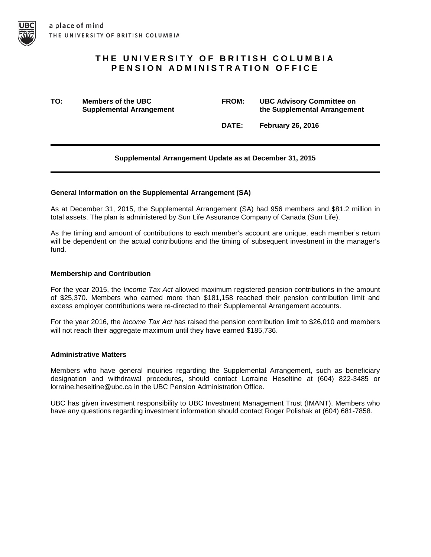# **THE UNIVERSITY OF BRITISH COLUMBIA PENSION ADMINISTRATION OFFICE**

**TO: Members of the UBC FROM: UBC Advisory Committee on the Supplemental Arrangement** 

**DATE: February 26, 2016**

# **Supplemental Arrangement Update as at December 31, 2015**

## **General Information on the Supplemental Arrangement (SA)**

As at December 31, 2015, the Supplemental Arrangement (SA) had 956 members and \$81.2 million in total assets. The plan is administered by Sun Life Assurance Company of Canada (Sun Life).

As the timing and amount of contributions to each member's account are unique, each member's return will be dependent on the actual contributions and the timing of subsequent investment in the manager's fund.

## **Membership and Contribution**

For the year 2015, the *Income Tax Act* allowed maximum registered pension contributions in the amount of \$25,370. Members who earned more than \$181,158 reached their pension contribution limit and excess employer contributions were re-directed to their Supplemental Arrangement accounts.

For the year 2016, the *Income Tax Act* has raised the pension contribution limit to \$26,010 and members will not reach their aggregate maximum until they have earned \$185,736.

#### **Administrative Matters**

Members who have general inquiries regarding the Supplemental Arrangement, such as beneficiary designation and withdrawal procedures, should contact Lorraine Heseltine at (604) 822-3485 or lorraine.heseltine@ubc.ca in the UBC Pension Administration Office.

UBC has given investment responsibility to UBC Investment Management Trust (IMANT). Members who have any questions regarding investment information should contact Roger Polishak at (604) 681-7858.